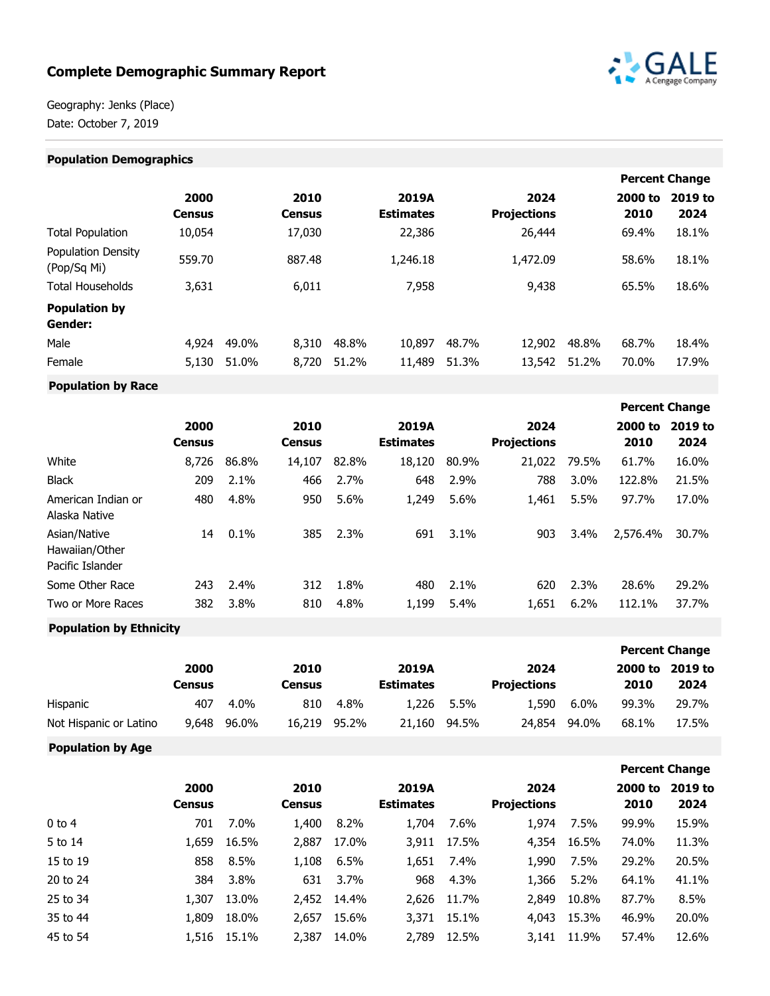# **Complete Demographic Summary Report**



**Percent Change**

Geography: Jenks (Place) Date: October 7, 2019

#### **Population Demographics Percent Change 2000 Census 2010 Census 2019A Estimates 2024 Projections 2000 to 2019 to 2010 2024** Total Population 10,054 17,030 22,386 26,444 69.4% 18.1% Population Density ابان 559.70 و 559.70 و 887.48 1,246.18 1,472.09 58.6% 18.1%<br>(Pop/Sq Mi) Total Households 3,631 6,011 7,958 9,438 65.5% 18.6% **Population by Gender:** Male 4,924 49.0% 8,310 48.8% 10,897 48.7% 12,902 48.8% 68.7% 18.4% Female 5,130 51.0% 8,720 51.2% 11,489 51.3% 13,542 51.2% 70.0% 17.9%

**Population by Race**

|                                                    | 2000<br><b>Census</b> |       | 2010<br><b>Census</b> |       | 2019A<br><b>Estimates</b> |       | 2024<br><b>Projections</b> |       | 2000 to<br>2010 | 2019 to<br>2024 |
|----------------------------------------------------|-----------------------|-------|-----------------------|-------|---------------------------|-------|----------------------------|-------|-----------------|-----------------|
| White                                              | 8,726                 | 86.8% | 14,107                | 82.8% | 18,120                    | 80.9% | 21,022                     | 79.5% | 61.7%           | 16.0%           |
| <b>Black</b>                                       | 209                   | 2.1%  | 466                   | 2.7%  | 648                       | 2.9%  | 788                        | 3.0%  | 122.8%          | 21.5%           |
| American Indian or<br>Alaska Native                | 480                   | 4.8%  | 950                   | 5.6%  | 1,249                     | 5.6%  | 1,461                      | 5.5%  | 97.7%           | 17.0%           |
| Asian/Native<br>Hawaiian/Other<br>Pacific Islander | 14                    | 0.1%  | 385                   | 2.3%  | 691                       | 3.1%  | 903                        | 3.4%  | 2,576.4%        | 30.7%           |
| Some Other Race                                    | 243                   | 2.4%  | 312                   | 1.8%  | 480                       | 2.1%  | 620                        | 2.3%  | 28.6%           | 29.2%           |
| Two or More Races                                  | 382                   | 3.8%  | 810                   | 4.8%  | 1,199                     | 5.4%  | 1,651                      | 6.2%  | 112.1%          | 37.7%           |
|                                                    |                       |       |                       |       |                           |       |                            |       |                 |                 |

# **Population by Ethnicity**

|                        |        |         |               |       |                  |       |                    |         |         | <b>Percent Change</b> |
|------------------------|--------|---------|---------------|-------|------------------|-------|--------------------|---------|---------|-----------------------|
|                        | 2000   |         | 2010          |       | 2019A            |       | 2024               |         | 2000 to | 2019 to               |
|                        | Census |         | <b>Census</b> |       | <b>Estimates</b> |       | <b>Projections</b> |         | 2010    | 2024                  |
| Hispanic               | 407    | $4.0\%$ | 810           | 4.8%  | 1,226            | 5.5%  | 1.590              | $6.0\%$ | 99.3%   | 29.7%                 |
| Not Hispanic or Latino | 9,648  | 96.0%   | 16,219        | 95.2% | 21,160           | 94.5% | 24.854             | 94.0%   | 68.1%   | 17.5%                 |

**Population by Age**

|          |                       |         |                       |       |                           |       |                            |       |                 | <b>Percent Change</b> |
|----------|-----------------------|---------|-----------------------|-------|---------------------------|-------|----------------------------|-------|-----------------|-----------------------|
|          | 2000<br><b>Census</b> |         | 2010<br><b>Census</b> |       | 2019A<br><b>Estimates</b> |       | 2024<br><b>Projections</b> |       | 2000 to<br>2010 | 2019 to<br>2024       |
| $0$ to 4 | 701                   | $7.0\%$ | 1,400                 | 8.2%  | 1,704                     | 7.6%  | 1,974                      | 7.5%  | 99.9%           | 15.9%                 |
| 5 to 14  | 1,659                 | 16.5%   | 2,887                 | 17.0% | 3,911                     | 17.5% | 4,354                      | 16.5% | 74.0%           | 11.3%                 |
| 15 to 19 | 858                   | 8.5%    | 1,108                 | 6.5%  | 1,651                     | 7.4%  | 1,990                      | 7.5%  | 29.2%           | 20.5%                 |
| 20 to 24 | 384                   | 3.8%    | 631                   | 3.7%  | 968                       | 4.3%  | 1,366                      | 5.2%  | 64.1%           | 41.1%                 |
| 25 to 34 | 1,307                 | 13.0%   | 2,452                 | 14.4% | 2,626                     | 11.7% | 2,849                      | 10.8% | 87.7%           | 8.5%                  |
| 35 to 44 | 1,809                 | 18.0%   | 2,657                 | 15.6% | 3,371                     | 15.1% | 4,043                      | 15.3% | 46.9%           | 20.0%                 |
| 45 to 54 | 1,516                 | 15.1%   | 2,387                 | 14.0% | 2,789                     | 12.5% | 3,141                      | 11.9% | 57.4%           | 12.6%                 |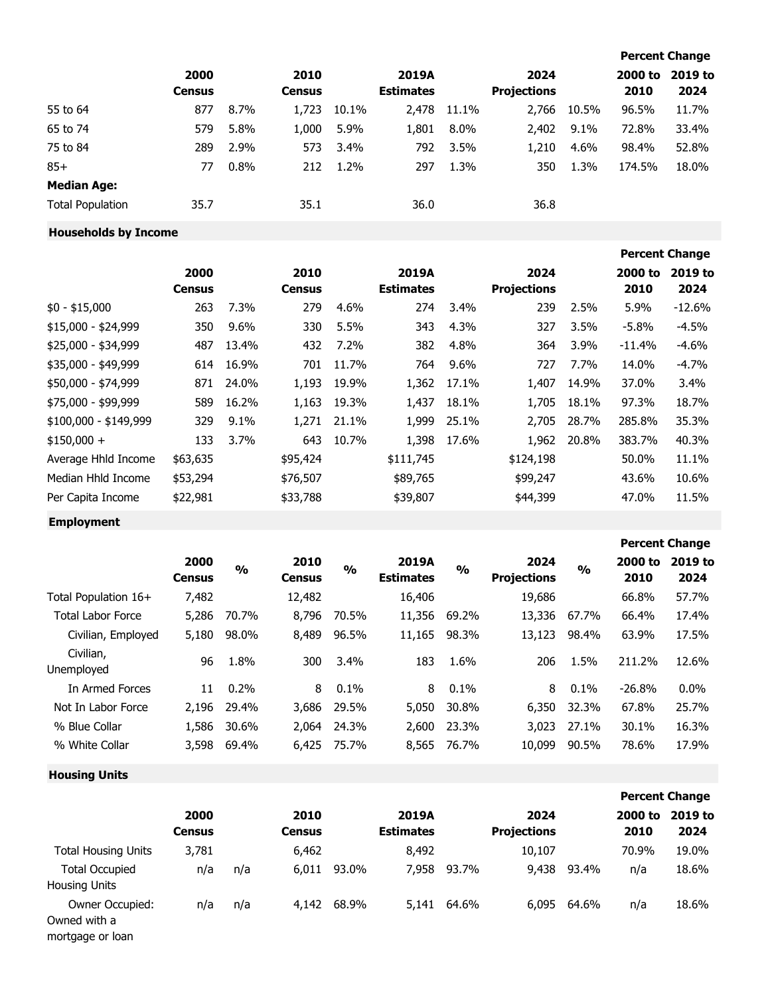|                         |                       |      |                       |       |                           |         |                            |         |                 | <b>Percent Change</b> |
|-------------------------|-----------------------|------|-----------------------|-------|---------------------------|---------|----------------------------|---------|-----------------|-----------------------|
|                         | 2000<br><b>Census</b> |      | 2010<br><b>Census</b> |       | 2019A<br><b>Estimates</b> |         | 2024<br><b>Projections</b> |         | 2000 to<br>2010 | 2019 to<br>2024       |
| 55 to 64                | 877                   | 8.7% | 1,723                 | 10.1% | 2,478                     | 11.1%   | 2,766                      | 10.5%   | 96.5%           | 11.7%                 |
| 65 to 74                | 579                   | 5.8% | 1,000                 | 5.9%  | 1,801                     | $8.0\%$ | 2,402                      | $9.1\%$ | 72.8%           | 33.4%                 |
| 75 to 84                | 289                   | 2.9% | 573                   | 3.4%  | 792                       | 3.5%    | 1,210                      | 4.6%    | 98.4%           | 52.8%                 |
| $85+$                   | 77                    | 0.8% | 212                   | 1.2%  | 297                       | 1.3%    | 350                        | 1.3%    | 174.5%          | 18.0%                 |
| <b>Median Age:</b>      |                       |      |                       |       |                           |         |                            |         |                 |                       |
| <b>Total Population</b> | 35.7                  |      | 35.1                  |       | 36.0                      |         | 36.8                       |         |                 |                       |

**Households by Income**

|                       |               |         |               |         |                  |         |                    |       |          | <b>Percent Change</b> |
|-----------------------|---------------|---------|---------------|---------|------------------|---------|--------------------|-------|----------|-----------------------|
|                       | 2000          |         | 2010          |         | 2019A            |         | 2024               |       | 2000 to  | 2019 to               |
|                       | <b>Census</b> |         | <b>Census</b> |         | <b>Estimates</b> |         | <b>Projections</b> |       | 2010     | 2024                  |
| $$0 - $15,000$        | 263           | 7.3%    | 279           | 4.6%    | 274              | $3.4\%$ | 239                | 2.5%  | 5.9%     | $-12.6%$              |
| \$15,000 - \$24,999   | 350           | $9.6\%$ | 330           | 5.5%    | 343              | 4.3%    | 327                | 3.5%  | $-5.8\%$ | $-4.5%$               |
| $$25,000 - $34,999$   | 487           | 13.4%   | 432           | $7.2\%$ | 382              | 4.8%    | 364                | 3.9%  | $-11.4%$ | $-4.6\%$              |
| \$35,000 - \$49,999   | 614           | 16.9%   | 701           | 11.7%   | 764              | $9.6\%$ | 727                | 7.7%  | 14.0%    | $-4.7\%$              |
| \$50,000 - \$74,999   | 871           | 24.0%   | 1,193         | 19.9%   | 1,362            | 17.1%   | 1,407              | 14.9% | 37.0%    | 3.4%                  |
| \$75,000 - \$99,999   | 589           | 16.2%   | 1,163         | 19.3%   | 1,437            | 18.1%   | 1,705              | 18.1% | 97.3%    | 18.7%                 |
| $$100,000 - $149,999$ | 329           | 9.1%    | 1,271         | 21.1%   | 1,999            | 25.1%   | 2,705              | 28.7% | 285.8%   | 35.3%                 |
| $$150,000 +$          | 133           | 3.7%    | 643           | 10.7%   | 1,398            | 17.6%   | 1,962              | 20.8% | 383.7%   | 40.3%                 |
| Average Hhld Income   | \$63,635      |         | \$95,424      |         | \$111,745        |         | \$124,198          |       | 50.0%    | 11.1%                 |
| Median Hhld Income    | \$53,294      |         | \$76,507      |         | \$89,765         |         | \$99,247           |       | 43.6%    | 10.6%                 |
| Per Capita Income     | \$22,981      |         | \$33,788      |         | \$39,807         |         | \$44,399           |       | 47.0%    | 11.5%                 |

**Employment**

|                          |                       |               |                       |               |                           |               |                            |               |                 | <b>Percent Change</b> |
|--------------------------|-----------------------|---------------|-----------------------|---------------|---------------------------|---------------|----------------------------|---------------|-----------------|-----------------------|
|                          | 2000<br><b>Census</b> | $\frac{0}{0}$ | 2010<br><b>Census</b> | $\frac{0}{0}$ | 2019A<br><b>Estimates</b> | $\frac{0}{0}$ | 2024<br><b>Projections</b> | $\frac{0}{0}$ | 2000 to<br>2010 | 2019 to<br>2024       |
| Total Population 16+     | 7,482                 |               | 12,482                |               | 16,406                    |               | 19,686                     |               | 66.8%           | 57.7%                 |
| <b>Total Labor Force</b> | 5,286                 | 70.7%         | 8,796                 | 70.5%         | 11,356                    | 69.2%         | 13,336                     | 67.7%         | 66.4%           | 17.4%                 |
| Civilian, Employed       | 5,180                 | 98.0%         | 8,489                 | 96.5%         | 11,165                    | 98.3%         | 13,123                     | 98.4%         | 63.9%           | 17.5%                 |
| Civilian,<br>Unemployed  | 96                    | 1.8%          | 300                   | 3.4%          | 183                       | 1.6%          | 206                        | 1.5%          | 211.2%          | 12.6%                 |
| In Armed Forces          | 11                    | $0.2\%$       | 8                     | 0.1%          | 8                         | 0.1%          | 8                          | 0.1%          | $-26.8%$        | $0.0\%$               |
| Not In Labor Force       | 2,196                 | 29.4%         | 3,686                 | 29.5%         | 5,050                     | 30.8%         | 6,350                      | 32.3%         | 67.8%           | 25.7%                 |
| % Blue Collar            | 1,586                 | 30.6%         | 2,064                 | 24.3%         | 2,600                     | 23.3%         | 3,023                      | 27.1%         | 30.1%           | 16.3%                 |
| % White Collar           | 3,598                 | 69.4%         | 6,425                 | 75.7%         | 8,565                     | 76.7%         | 10,099                     | 90.5%         | 78.6%           | 17.9%                 |
|                          |                       |               |                       |               |                           |               |                            |               |                 |                       |

**Housing Units**

|                                               |                       |     |                       |       |                           |       |                            |       |                 | <b>Percent Change</b> |
|-----------------------------------------------|-----------------------|-----|-----------------------|-------|---------------------------|-------|----------------------------|-------|-----------------|-----------------------|
|                                               | 2000<br><b>Census</b> |     | 2010<br><b>Census</b> |       | 2019A<br><b>Estimates</b> |       | 2024<br><b>Projections</b> |       | 2000 to<br>2010 | 2019 to<br>2024       |
| <b>Total Housing Units</b>                    | 3,781                 |     | 6,462                 |       | 8,492                     |       | 10,107                     |       | 70.9%           | 19.0%                 |
| <b>Total Occupied</b><br><b>Housing Units</b> | n/a                   | n/a | 6,011                 | 93.0% | 7,958                     | 93.7% | 9,438                      | 93.4% | n/a             | 18.6%                 |
| Owner Occupied:<br>Owned with a               | n/a                   | n/a | 4,142                 | 68.9% | 5,141                     | 64.6% | 6,095                      | 64.6% | n/a             | 18.6%                 |

mortgage or loan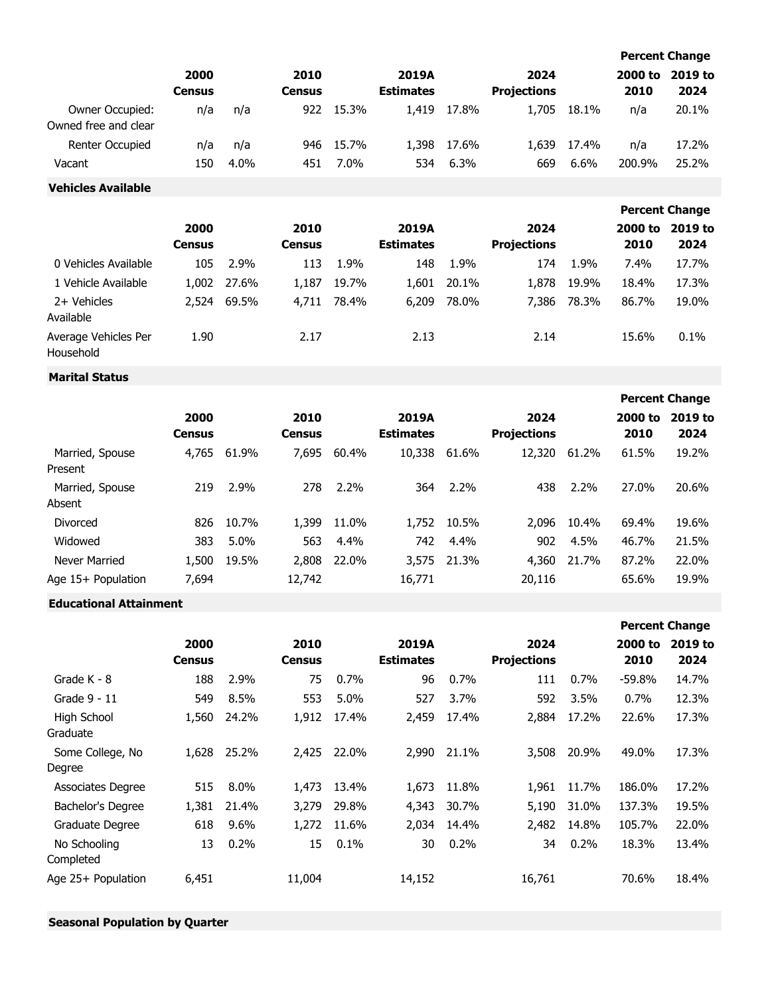|                                         |                       |         |                       |         |                           |         |                            |       |                 | <b>Percent Change</b> |
|-----------------------------------------|-----------------------|---------|-----------------------|---------|---------------------------|---------|----------------------------|-------|-----------------|-----------------------|
|                                         | 2000<br><b>Census</b> |         | 2010<br><b>Census</b> |         | 2019A<br><b>Estimates</b> |         | 2024<br><b>Projections</b> |       | 2000 to<br>2010 | 2019 to<br>2024       |
| Owner Occupied:<br>Owned free and clear | n/a                   | n/a     | 922                   | 15.3%   | 1,419                     | 17.8%   | 1,705                      | 18.1% | n/a             | 20.1%                 |
| <b>Renter Occupied</b>                  | n/a                   | n/a     | 946                   | 15.7%   | 1,398                     | 17.6%   | 1,639                      | 17.4% | n/a             | 17.2%                 |
| Vacant                                  | 150                   | $4.0\%$ | 451                   | $7.0\%$ | 534                       | $6.3\%$ | 669                        | 6.6%  | 200.9%          | 25.2%                 |

### **Vehicles Available**

|                                   |                       |       |                       |       |                           |       |                            |       |                 | <b>Percent Change</b> |
|-----------------------------------|-----------------------|-------|-----------------------|-------|---------------------------|-------|----------------------------|-------|-----------------|-----------------------|
|                                   | 2000<br><b>Census</b> |       | 2010<br><b>Census</b> |       | 2019A<br><b>Estimates</b> |       | 2024<br><b>Projections</b> |       | 2000 to<br>2010 | 2019 to<br>2024       |
| 0 Vehicles Available              | 105                   | 2.9%  | 113                   | 1.9%  | 148                       | 1.9%  | 174                        | 1.9%  | 7.4%            | 17.7%                 |
| 1 Vehicle Available               | 1,002                 | 27.6% | 1,187                 | 19.7% | 1,601                     | 20.1% | 1,878                      | 19.9% | 18.4%           | 17.3%                 |
| 2+ Vehicles<br>Available          | 2,524                 | 69.5% | 4,711                 | 78.4% | 6,209                     | 78.0% | 7,386                      | 78.3% | 86.7%           | 19.0%                 |
| Average Vehicles Per<br>Household | 1.90                  |       | 2.17                  |       | 2.13                      |       | 2.14                       |       | 15.6%           | 0.1%                  |

# **Marital Status**

|                            |                       |       |                       |       |                           |       |                            |       |                 | <b>Percent Change</b> |
|----------------------------|-----------------------|-------|-----------------------|-------|---------------------------|-------|----------------------------|-------|-----------------|-----------------------|
|                            | 2000<br><b>Census</b> |       | 2010<br><b>Census</b> |       | 2019A<br><b>Estimates</b> |       | 2024<br><b>Projections</b> |       | 2000 to<br>2010 | 2019 to<br>2024       |
| Married, Spouse<br>Present | 4,765                 | 61.9% | 7,695                 | 60.4% | 10,338                    | 61.6% | 12,320                     | 61.2% | 61.5%           | 19.2%                 |
| Married, Spouse<br>Absent  | 219                   | 2.9%  | 278                   | 2.2%  | 364                       | 2.2%  | 438                        | 2.2%  | 27.0%           | 20.6%                 |
| Divorced                   | 826                   | 10.7% | 1,399                 | 11.0% | 1,752                     | 10.5% | 2,096                      | 10.4% | 69.4%           | 19.6%                 |
| Widowed                    | 383                   | 5.0%  | 563                   | 4.4%  | 742.                      | 4.4%  | 902                        | 4.5%  | 46.7%           | 21.5%                 |
| Never Married              | 1,500                 | 19.5% | 2,808                 | 22.0% | 3,575                     | 21.3% | 4,360                      | 21.7% | 87.2%           | 22.0%                 |
| Age 15+ Population         | 7,694                 |       | 12,742                |       | 16,771                    |       | 20,116                     |       | 65.6%           | 19.9%                 |

# **Educational Attainment**

|                            |                       |         |                       |       |                           |       |                            |       |                 | <b>Percent Change</b> |
|----------------------------|-----------------------|---------|-----------------------|-------|---------------------------|-------|----------------------------|-------|-----------------|-----------------------|
|                            | 2000<br><b>Census</b> |         | 2010<br><b>Census</b> |       | 2019A<br><b>Estimates</b> |       | 2024<br><b>Projections</b> |       | 2000 to<br>2010 | 2019 to<br>2024       |
| Grade K - 8                | 188                   | 2.9%    | 75                    | 0.7%  | 96                        | 0.7%  | 111                        | 0.7%  | $-59.8%$        | 14.7%                 |
| Grade 9 - 11               | 549                   | 8.5%    | 553                   | 5.0%  | 527                       | 3.7%  | 592                        | 3.5%  | 0.7%            | 12.3%                 |
| High School<br>Graduate    | 1,560                 | 24.2%   | 1,912                 | 17.4% | 2,459                     | 17.4% | 2,884                      | 17.2% | 22.6%           | 17.3%                 |
| Some College, No<br>Degree | 1,628                 | 25.2%   | 2,425                 | 22.0% | 2,990                     | 21.1% | 3,508                      | 20.9% | 49.0%           | 17.3%                 |
| <b>Associates Degree</b>   | 515                   | 8.0%    | 1,473                 | 13.4% | 1,673                     | 11.8% | 1,961                      | 11.7% | 186.0%          | 17.2%                 |
| Bachelor's Degree          | 1,381                 | 21.4%   | 3,279                 | 29.8% | 4,343                     | 30.7% | 5,190                      | 31.0% | 137.3%          | 19.5%                 |
| Graduate Degree            | 618                   | $9.6\%$ | 1,272                 | 11.6% | 2,034                     | 14.4% | 2,482                      | 14.8% | 105.7%          | 22.0%                 |
| No Schooling<br>Completed  | 13                    | 0.2%    | 15                    | 0.1%  | 30                        | 0.2%  | 34                         | 0.2%  | 18.3%           | 13.4%                 |
| Age 25+ Population         | 6,451                 |         | 11,004                |       | 14,152                    |       | 16,761                     |       | 70.6%           | 18.4%                 |